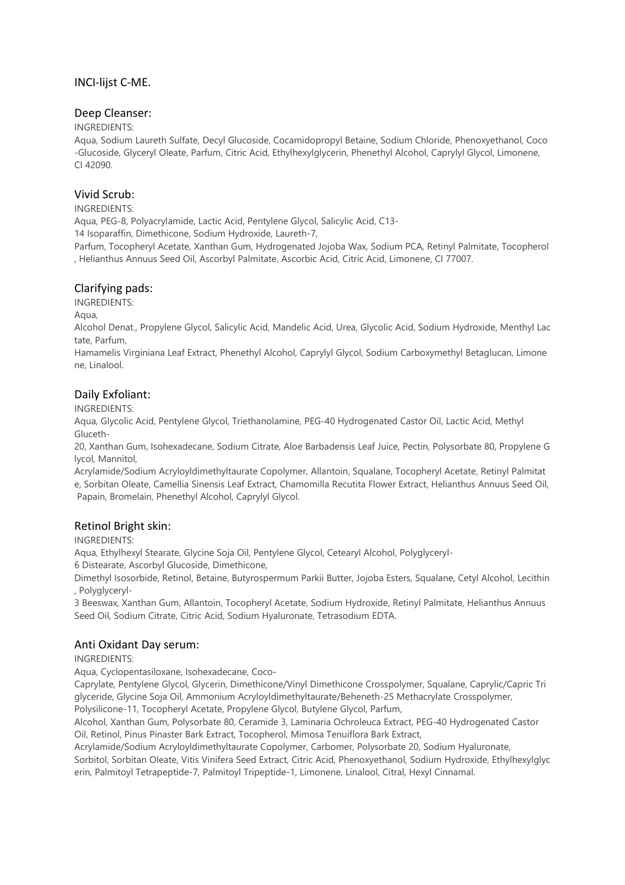## INCI-lijst C-ME.

### Deep Cleanser:

#### INGREDIENTS:

Aqua, Sodium Laureth Sulfate, Decyl Glucoside, Cocamidopropyl Betaine, Sodium Chloride, Phenoxyethanol, Coco -Glucoside, Glyceryl Oleate, Parfum, Citric Acid, Ethylhexylglycerin, Phenethyl Alcohol, Caprylyl Glycol, Limonene, CI 42090.

## Vivid Scrub:

### INGREDIENTS:

Aqua, PEG-8, Polyacrylamide, Lactic Acid, Pentylene Glycol, Salicylic Acid, C13-

14 Isoparaffin, Dimethicone, Sodium Hydroxide, Laureth-7,

Parfum, Tocopheryl Acetate, Xanthan Gum, Hydrogenated Jojoba Wax, Sodium PCA, Retinyl Palmitate, Tocopherol , Helianthus Annuus Seed Oil, Ascorbyl Palmitate, Ascorbic Acid, Citric Acid, Limonene, CI 77007.

# Clarifying pads:

INGREDIENTS:

Aqua,

Alcohol Denat., Propylene Glycol, Salicylic Acid, Mandelic Acid, Urea, Glycolic Acid, Sodium Hydroxide, Menthyl Lac tate, Parfum,

Hamamelis Virginiana Leaf Extract, Phenethyl Alcohol, Caprylyl Glycol, Sodium Carboxymethyl Betaglucan, Limone ne, Linalool.

# Daily Exfoliant:

INGREDIENTS:

Aqua, Glycolic Acid, Pentylene Glycol, Triethanolamine, PEG-40 Hydrogenated Castor Oil, Lactic Acid, Methyl Gluceth-

20, Xanthan Gum, Isohexadecane, Sodium Citrate, Aloe Barbadensis Leaf Juice, Pectin, Polysorbate 80, Propylene G lycol, Mannitol,

Acrylamide/Sodium Acryloyldimethyltaurate Copolymer, Allantoin, Squalane, Tocopheryl Acetate, Retinyl Palmitat e, Sorbitan Oleate, Camellia Sinensis Leaf Extract, Chamomilla Recutita Flower Extract, Helianthus Annuus Seed Oil, Papain, Bromelain, Phenethyl Alcohol, Caprylyl Glycol.

## Retinol Bright skin:

INGREDIENTS:

Aqua, Ethylhexyl Stearate, Glycine Soja Oil, Pentylene Glycol, Cetearyl Alcohol, Polyglyceryl-

6 Distearate, Ascorbyl Glucoside, Dimethicone,

Dimethyl Isosorbide, Retinol, Betaine, Butyrospermum Parkii Butter, Jojoba Esters, Squalane, Cetyl Alcohol, Lecithin , Polyglyceryl-

3 Beeswax, Xanthan Gum, Allantoin, Tocopheryl Acetate, Sodium Hydroxide, Retinyl Palmitate, Helianthus Annuus Seed Oil, Sodium Citrate, Citric Acid, Sodium Hyaluronate, Tetrasodium EDTA.

## Anti Oxidant Day serum:

INGREDIENTS:

Aqua, Cyclopentasiloxane, Isohexadecane, Coco-

Caprylate, Pentylene Glycol, Glycerin, Dimethicone/Vinyl Dimethicone Crosspolymer, Squalane, Caprylic/Capric Tri glyceride, Glycine Soja Oil, Ammonium Acryloyldimethyltaurate/Beheneth-25 Methacrylate Crosspolymer, Polysilicone-11, Tocopheryl Acetate, Propylene Glycol, Butylene Glycol, Parfum,

Alcohol, Xanthan Gum, Polysorbate 80, Ceramide 3, Laminaria Ochroleuca Extract, PEG-40 Hydrogenated Castor Oil, Retinol, Pinus Pinaster Bark Extract, Tocopherol, Mimosa Tenuiflora Bark Extract,

Acrylamide/Sodium Acryloyldimethyltaurate Copolymer, Carbomer, Polysorbate 20, Sodium Hyaluronate,

Sorbitol, Sorbitan Oleate, Vitis Vinifera Seed Extract, Citric Acid, Phenoxyethanol, Sodium Hydroxide, Ethylhexylglyc erin, Palmitoyl Tetrapeptide-7, Palmitoyl Tripeptide-1, Limonene, Linalool, Citral, Hexyl Cinnamal.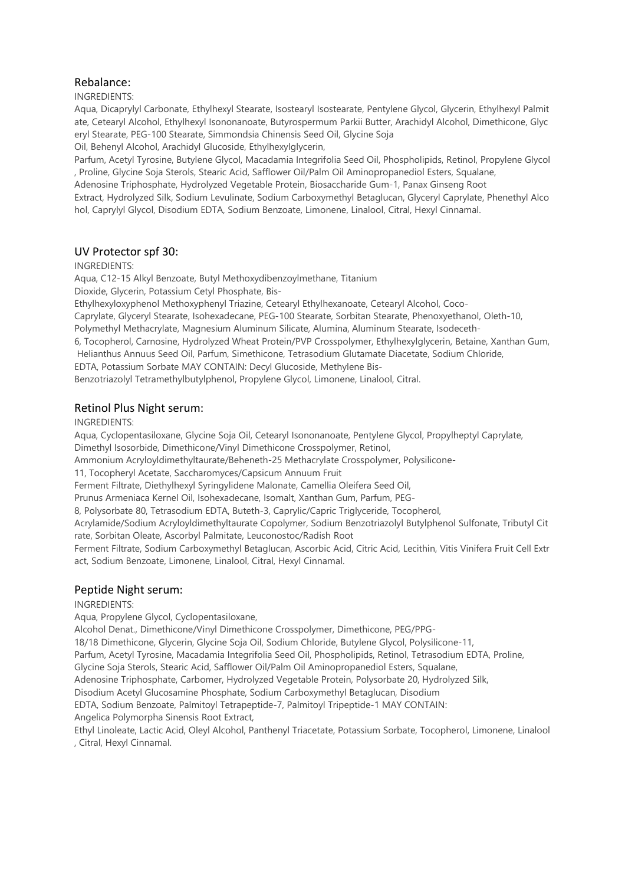### Rebalance:

INGREDIENTS:

Aqua, Dicaprylyl Carbonate, Ethylhexyl Stearate, Isostearyl Isostearate, Pentylene Glycol, Glycerin, Ethylhexyl Palmit ate, Cetearyl Alcohol, Ethylhexyl Isononanoate, Butyrospermum Parkii Butter, Arachidyl Alcohol, Dimethicone, Glyc eryl Stearate, PEG-100 Stearate, Simmondsia Chinensis Seed Oil, Glycine Soja

Oil, Behenyl Alcohol, Arachidyl Glucoside, Ethylhexylglycerin,

Parfum, Acetyl Tyrosine, Butylene Glycol, Macadamia Integrifolia Seed Oil, Phospholipids, Retinol, Propylene Glycol , Proline, Glycine Soja Sterols, Stearic Acid, Safflower Oil/Palm Oil Aminopropanediol Esters, Squalane,

Adenosine Triphosphate, Hydrolyzed Vegetable Protein, Biosaccharide Gum-1, Panax Ginseng Root

Extract, Hydrolyzed Silk, Sodium Levulinate, Sodium Carboxymethyl Betaglucan, Glyceryl Caprylate, Phenethyl Alco hol, Caprylyl Glycol, Disodium EDTA, Sodium Benzoate, Limonene, Linalool, Citral, Hexyl Cinnamal.

## UV Protector spf 30:

INGREDIENTS:

Aqua, C12-15 Alkyl Benzoate, Butyl Methoxydibenzoylmethane, Titanium

Dioxide, Glycerin, Potassium Cetyl Phosphate, Bis-

Ethylhexyloxyphenol Methoxyphenyl Triazine, Cetearyl Ethylhexanoate, Cetearyl Alcohol, Coco-

Caprylate, Glyceryl Stearate, Isohexadecane, PEG-100 Stearate, Sorbitan Stearate, Phenoxyethanol, Oleth-10,

Polymethyl Methacrylate, Magnesium Aluminum Silicate, Alumina, Aluminum Stearate, Isodeceth-

6, Tocopherol, Carnosine, Hydrolyzed Wheat Protein/PVP Crosspolymer, Ethylhexylglycerin, Betaine, Xanthan Gum, Helianthus Annuus Seed Oil, Parfum, Simethicone, Tetrasodium Glutamate Diacetate, Sodium Chloride,

EDTA, Potassium Sorbate MAY CONTAIN: Decyl Glucoside, Methylene Bis-

Benzotriazolyl Tetramethylbutylphenol, Propylene Glycol, Limonene, Linalool, Citral.

#### Retinol Plus Night serum:

INGREDIENTS:

Aqua, Cyclopentasiloxane, Glycine Soja Oil, Cetearyl Isononanoate, Pentylene Glycol, Propylheptyl Caprylate, Dimethyl Isosorbide, Dimethicone/Vinyl Dimethicone Crosspolymer, Retinol,

Ammonium Acryloyldimethyltaurate/Beheneth-25 Methacrylate Crosspolymer, Polysilicone-

11, Tocopheryl Acetate, Saccharomyces/Capsicum Annuum Fruit

Ferment Filtrate, Diethylhexyl Syringylidene Malonate, Camellia Oleifera Seed Oil,

Prunus Armeniaca Kernel Oil, Isohexadecane, Isomalt, Xanthan Gum, Parfum, PEG-

8, Polysorbate 80, Tetrasodium EDTA, Buteth-3, Caprylic/Capric Triglyceride, Tocopherol,

Acrylamide/Sodium Acryloyldimethyltaurate Copolymer, Sodium Benzotriazolyl Butylphenol Sulfonate, Tributyl Cit rate, Sorbitan Oleate, Ascorbyl Palmitate, Leuconostoc/Radish Root

Ferment Filtrate, Sodium Carboxymethyl Betaglucan, Ascorbic Acid, Citric Acid, Lecithin, Vitis Vinifera Fruit Cell Extr act, Sodium Benzoate, Limonene, Linalool, Citral, Hexyl Cinnamal.

#### Peptide Night serum:

#### INGREDIENTS:

Aqua, Propylene Glycol, Cyclopentasiloxane,

Alcohol Denat., Dimethicone/Vinyl Dimethicone Crosspolymer, Dimethicone, PEG/PPG-

18/18 Dimethicone, Glycerin, Glycine Soja Oil, Sodium Chloride, Butylene Glycol, Polysilicone-11,

Parfum, Acetyl Tyrosine, Macadamia Integrifolia Seed Oil, Phospholipids, Retinol, Tetrasodium EDTA, Proline,

Glycine Soja Sterols, Stearic Acid, Safflower Oil/Palm Oil Aminopropanediol Esters, Squalane,

Adenosine Triphosphate, Carbomer, Hydrolyzed Vegetable Protein, Polysorbate 20, Hydrolyzed Silk,

Disodium Acetyl Glucosamine Phosphate, Sodium Carboxymethyl Betaglucan, Disodium

EDTA, Sodium Benzoate, Palmitoyl Tetrapeptide-7, Palmitoyl Tripeptide-1 MAY CONTAIN:

Angelica Polymorpha Sinensis Root Extract,

Ethyl Linoleate, Lactic Acid, Oleyl Alcohol, Panthenyl Triacetate, Potassium Sorbate, Tocopherol, Limonene, Linalool , Citral, Hexyl Cinnamal.